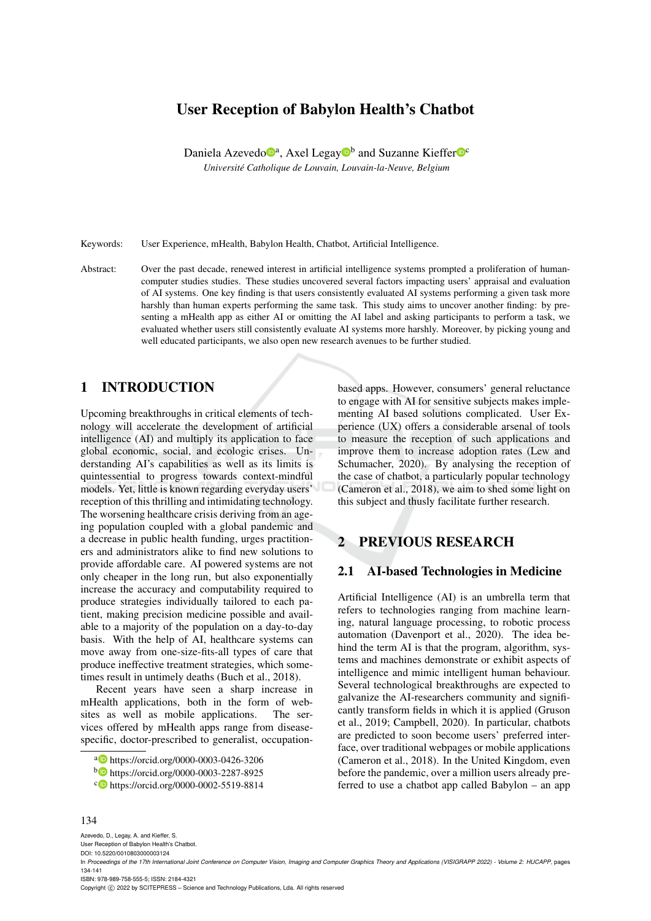# User Reception of Babylon Health's Chatbot

Daniela Azevedo<sup>®</sup>, Axel Legay<sup>®</sup> and Suzanne Kieffer<sup>®</sup> *Universite Catholique de Louvain, Louvain-la-Neuve, Belgium ´*

Keywords: User Experience, mHealth, Babylon Health, Chatbot, Artificial Intelligence.

Abstract: Over the past decade, renewed interest in artificial intelligence systems prompted a proliferation of humancomputer studies studies. These studies uncovered several factors impacting users' appraisal and evaluation of AI systems. One key finding is that users consistently evaluated AI systems performing a given task more harshly than human experts performing the same task. This study aims to uncover another finding: by presenting a mHealth app as either AI or omitting the AI label and asking participants to perform a task, we evaluated whether users still consistently evaluate AI systems more harshly. Moreover, by picking young and well educated participants, we also open new research avenues to be further studied.

## 1 INTRODUCTION

Upcoming breakthroughs in critical elements of technology will accelerate the development of artificial intelligence (AI) and multiply its application to face global economic, social, and ecologic crises. Understanding AI's capabilities as well as its limits is quintessential to progress towards context-mindful models. Yet, little is known regarding everyday users' reception of this thrilling and intimidating technology. The worsening healthcare crisis deriving from an ageing population coupled with a global pandemic and a decrease in public health funding, urges practitioners and administrators alike to find new solutions to provide affordable care. AI powered systems are not only cheaper in the long run, but also exponentially increase the accuracy and computability required to produce strategies individually tailored to each patient, making precision medicine possible and available to a majority of the population on a day-to-day basis. With the help of AI, healthcare systems can move away from one-size-fits-all types of care that produce ineffective treatment strategies, which sometimes result in untimely deaths (Buch et al., 2018).

Recent years have seen a sharp increase in mHealth applications, both in the form of websites as well as mobile applications. The services offered by mHealth apps range from diseasespecific, doctor-prescribed to generalist, occupationbased apps. However, consumers' general reluctance to engage with AI for sensitive subjects makes implementing AI based solutions complicated. User Experience (UX) offers a considerable arsenal of tools to measure the reception of such applications and improve them to increase adoption rates (Lew and Schumacher, 2020). By analysing the reception of the case of chatbot, a particularly popular technology (Cameron et al., 2018), we aim to shed some light on this subject and thusly facilitate further research.

## 2 PREVIOUS RESEARCH

#### 2.1 AI-based Technologies in Medicine

Artificial Intelligence (AI) is an umbrella term that refers to technologies ranging from machine learning, natural language processing, to robotic process automation (Davenport et al., 2020). The idea behind the term AI is that the program, algorithm, systems and machines demonstrate or exhibit aspects of intelligence and mimic intelligent human behaviour. Several technological breakthroughs are expected to galvanize the AI-researchers community and significantly transform fields in which it is applied (Gruson et al., 2019; Campbell, 2020). In particular, chatbots are predicted to soon become users' preferred interface, over traditional webpages or mobile applications (Cameron et al., 2018). In the United Kingdom, even before the pandemic, over a million users already preferred to use a chatbot app called Babylon – an app

#### 134

Azevedo, D., Legay, A. and Kieffer, S. User Reception of Babylon Health's Chatbot.

DOI: 10.5220/0010803000003124

ISBN: 978-989-758-555-5; ISSN: 2184-4321

Copyright © 2022 by SCITEPRESS - Science and Technology Publications, Lda. All rights reserved

<sup>a</sup> https://orcid.org/0000-0003-0426-3206

<sup>b</sup> https://orcid.org/0000-0003-2287-8925

c https://orcid.org/0000-0002-5519-8814

In *Proceedings of the 17th International Joint Conference on Computer Vision, Imaging and Computer Graphics Theory and Applications (VISIGRAPP 2022) - Volume 2: HUCAPP*, pages 134-141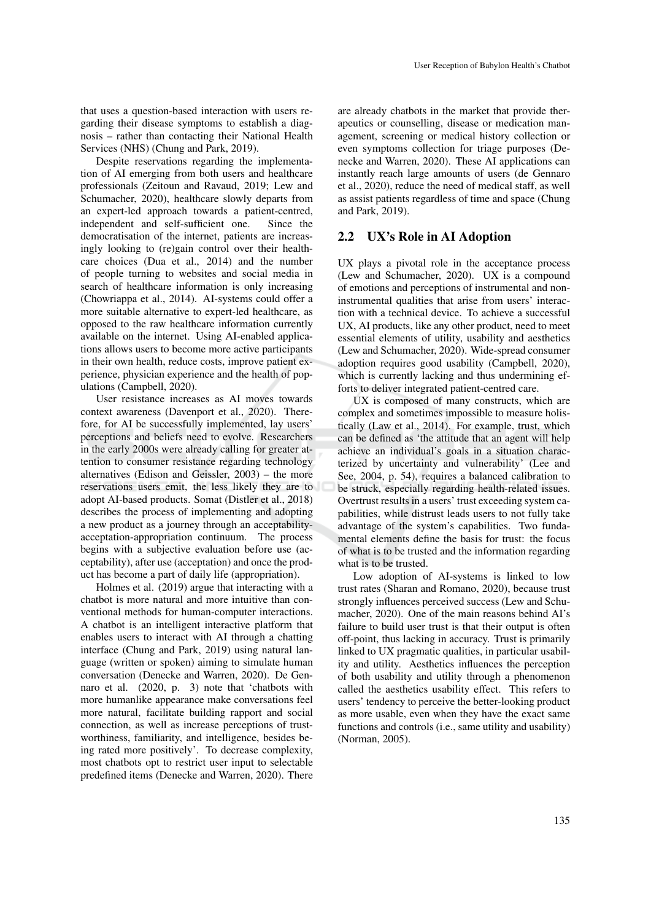that uses a question-based interaction with users regarding their disease symptoms to establish a diagnosis – rather than contacting their National Health Services (NHS) (Chung and Park, 2019).

Despite reservations regarding the implementation of AI emerging from both users and healthcare professionals (Zeitoun and Ravaud, 2019; Lew and Schumacher, 2020), healthcare slowly departs from an expert-led approach towards a patient-centred, independent and self-sufficient one. Since the democratisation of the internet, patients are increasingly looking to (re)gain control over their healthcare choices (Dua et al., 2014) and the number of people turning to websites and social media in search of healthcare information is only increasing (Chowriappa et al., 2014). AI-systems could offer a more suitable alternative to expert-led healthcare, as opposed to the raw healthcare information currently available on the internet. Using AI-enabled applications allows users to become more active participants in their own health, reduce costs, improve patient experience, physician experience and the health of populations (Campbell, 2020).

User resistance increases as AI moves towards context awareness (Davenport et al., 2020). Therefore, for AI be successfully implemented, lay users' perceptions and beliefs need to evolve. Researchers in the early 2000s were already calling for greater attention to consumer resistance regarding technology alternatives (Edison and Geissler, 2003) – the more reservations users emit, the less likely they are to adopt AI-based products. Somat (Distler et al., 2018) describes the process of implementing and adopting a new product as a journey through an acceptabilityacceptation-appropriation continuum. The process begins with a subjective evaluation before use (acceptability), after use (acceptation) and once the product has become a part of daily life (appropriation).

Holmes et al. (2019) argue that interacting with a chatbot is more natural and more intuitive than conventional methods for human-computer interactions. A chatbot is an intelligent interactive platform that enables users to interact with AI through a chatting interface (Chung and Park, 2019) using natural language (written or spoken) aiming to simulate human conversation (Denecke and Warren, 2020). De Gennaro et al. (2020, p. 3) note that 'chatbots with more humanlike appearance make conversations feel more natural, facilitate building rapport and social connection, as well as increase perceptions of trustworthiness, familiarity, and intelligence, besides being rated more positively'. To decrease complexity, most chatbots opt to restrict user input to selectable predefined items (Denecke and Warren, 2020). There are already chatbots in the market that provide therapeutics or counselling, disease or medication management, screening or medical history collection or even symptoms collection for triage purposes (Denecke and Warren, 2020). These AI applications can instantly reach large amounts of users (de Gennaro et al., 2020), reduce the need of medical staff, as well as assist patients regardless of time and space (Chung and Park, 2019).

#### 2.2 UX's Role in AI Adoption

UX plays a pivotal role in the acceptance process (Lew and Schumacher, 2020). UX is a compound of emotions and perceptions of instrumental and noninstrumental qualities that arise from users' interaction with a technical device. To achieve a successful UX, AI products, like any other product, need to meet essential elements of utility, usability and aesthetics (Lew and Schumacher, 2020). Wide-spread consumer adoption requires good usability (Campbell, 2020), which is currently lacking and thus undermining efforts to deliver integrated patient-centred care.

UX is composed of many constructs, which are complex and sometimes impossible to measure holistically (Law et al., 2014). For example, trust, which can be defined as 'the attitude that an agent will help achieve an individual's goals in a situation characterized by uncertainty and vulnerability' (Lee and See, 2004, p. 54), requires a balanced calibration to be struck, especially regarding health-related issues. Overtrust results in a users' trust exceeding system capabilities, while distrust leads users to not fully take advantage of the system's capabilities. Two fundamental elements define the basis for trust: the focus of what is to be trusted and the information regarding what is to be trusted.

Low adoption of AI-systems is linked to low trust rates (Sharan and Romano, 2020), because trust strongly influences perceived success (Lew and Schumacher, 2020). One of the main reasons behind AI's failure to build user trust is that their output is often off-point, thus lacking in accuracy. Trust is primarily linked to UX pragmatic qualities, in particular usability and utility. Aesthetics influences the perception of both usability and utility through a phenomenon called the aesthetics usability effect. This refers to users' tendency to perceive the better-looking product as more usable, even when they have the exact same functions and controls (i.e., same utility and usability) (Norman, 2005).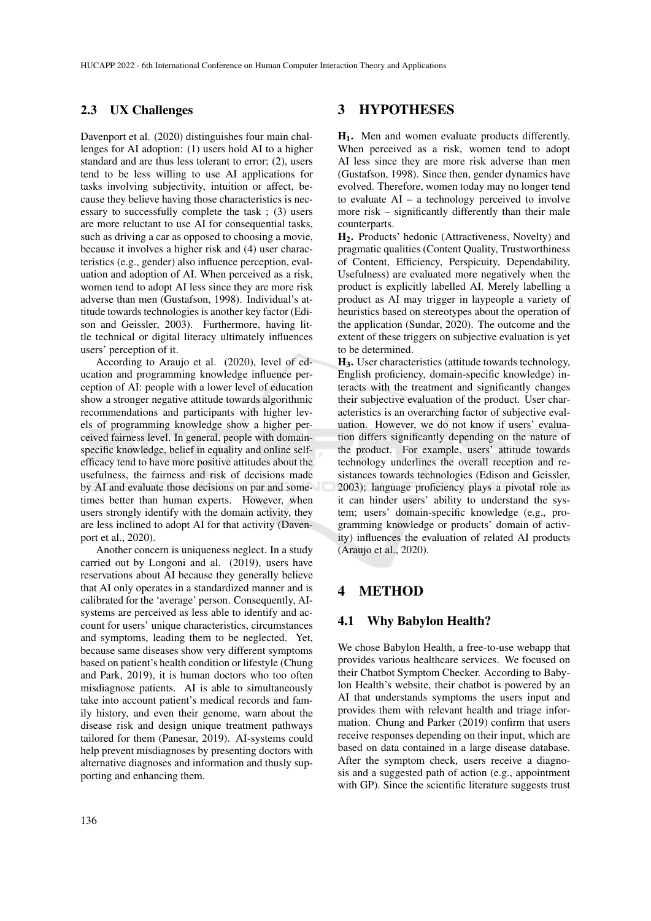#### 2.3 UX Challenges

Davenport et al. (2020) distinguishes four main challenges for AI adoption: (1) users hold AI to a higher standard and are thus less tolerant to error; (2), users tend to be less willing to use AI applications for tasks involving subjectivity, intuition or affect, because they believe having those characteristics is necessary to successfully complete the task ; (3) users are more reluctant to use AI for consequential tasks, such as driving a car as opposed to choosing a movie, because it involves a higher risk and (4) user characteristics (e.g., gender) also influence perception, evaluation and adoption of AI. When perceived as a risk, women tend to adopt AI less since they are more risk adverse than men (Gustafson, 1998). Individual's attitude towards technologies is another key factor (Edison and Geissler, 2003). Furthermore, having little technical or digital literacy ultimately influences users' perception of it.

According to Araujo et al. (2020), level of education and programming knowledge influence perception of AI: people with a lower level of education show a stronger negative attitude towards algorithmic recommendations and participants with higher levels of programming knowledge show a higher perceived fairness level. In general, people with domainspecific knowledge, belief in equality and online selfefficacy tend to have more positive attitudes about the usefulness, the fairness and risk of decisions made by AI and evaluate those decisions on par and sometimes better than human experts. However, when users strongly identify with the domain activity, they are less inclined to adopt AI for that activity (Davenport et al., 2020).

Another concern is uniqueness neglect. In a study carried out by Longoni and al. (2019), users have reservations about AI because they generally believe that AI only operates in a standardized manner and is calibrated for the 'average' person. Consequently, AIsystems are perceived as less able to identify and account for users' unique characteristics, circumstances and symptoms, leading them to be neglected. Yet, because same diseases show very different symptoms based on patient's health condition or lifestyle (Chung and Park, 2019), it is human doctors who too often misdiagnose patients. AI is able to simultaneously take into account patient's medical records and family history, and even their genome, warn about the disease risk and design unique treatment pathways tailored for them (Panesar, 2019). AI-systems could help prevent misdiagnoses by presenting doctors with alternative diagnoses and information and thusly supporting and enhancing them.

### 3 HYPOTHESES

H1. Men and women evaluate products differently. When perceived as a risk, women tend to adopt AI less since they are more risk adverse than men (Gustafson, 1998). Since then, gender dynamics have evolved. Therefore, women today may no longer tend to evaluate  $AI - a$  technology perceived to involve more risk – significantly differently than their male counterparts.

H2. Products' hedonic (Attractiveness, Novelty) and pragmatic qualities (Content Quality, Trustworthiness of Content, Efficiency, Perspicuity, Dependability, Usefulness) are evaluated more negatively when the product is explicitly labelled AI. Merely labelling a product as AI may trigger in laypeople a variety of heuristics based on stereotypes about the operation of the application (Sundar, 2020). The outcome and the extent of these triggers on subjective evaluation is yet to be determined.

H3. User characteristics (attitude towards technology, English proficiency, domain-specific knowledge) interacts with the treatment and significantly changes their subjective evaluation of the product. User characteristics is an overarching factor of subjective evaluation. However, we do not know if users' evaluation differs significantly depending on the nature of the product. For example, users' attitude towards technology underlines the overall reception and resistances towards technologies (Edison and Geissler, 2003); language proficiency plays a pivotal role as it can hinder users' ability to understand the system; users' domain-specific knowledge (e.g., programming knowledge or products' domain of activity) influences the evaluation of related AI products (Araujo et al., 2020).

## 4 METHOD

## 4.1 Why Babylon Health?

We chose Babylon Health, a free-to-use webapp that provides various healthcare services. We focused on their Chatbot Symptom Checker. According to Babylon Health's website, their chatbot is powered by an AI that understands symptoms the users input and provides them with relevant health and triage information. Chung and Parker (2019) confirm that users receive responses depending on their input, which are based on data contained in a large disease database. After the symptom check, users receive a diagnosis and a suggested path of action (e.g., appointment with GP). Since the scientific literature suggests trust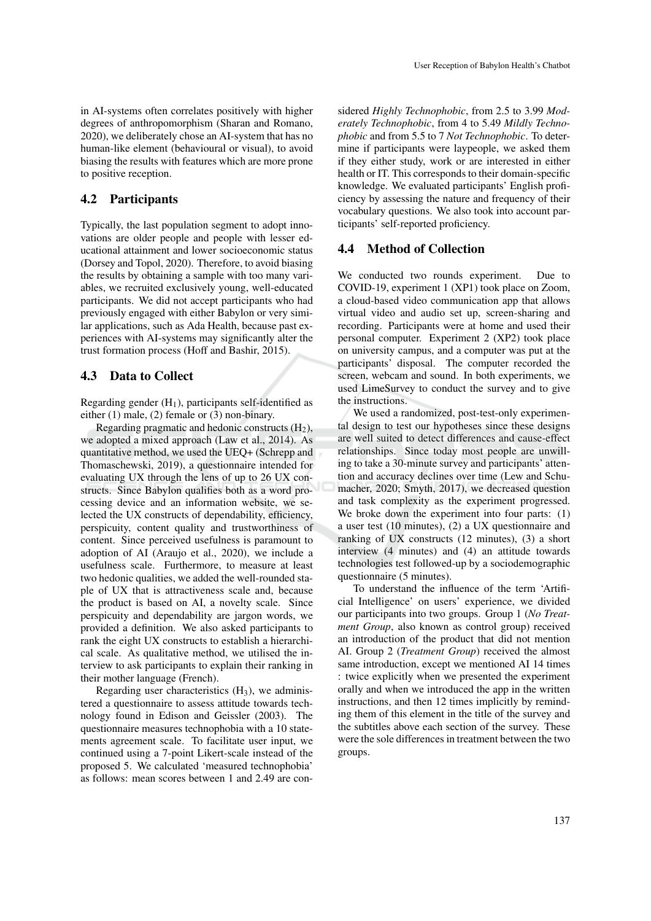in AI-systems often correlates positively with higher degrees of anthropomorphism (Sharan and Romano, 2020), we deliberately chose an AI-system that has no human-like element (behavioural or visual), to avoid biasing the results with features which are more prone to positive reception.

## 4.2 Participants

Typically, the last population segment to adopt innovations are older people and people with lesser educational attainment and lower socioeconomic status (Dorsey and Topol, 2020). Therefore, to avoid biasing the results by obtaining a sample with too many variables, we recruited exclusively young, well-educated participants. We did not accept participants who had previously engaged with either Babylon or very similar applications, such as Ada Health, because past experiences with AI-systems may significantly alter the trust formation process (Hoff and Bashir, 2015).

#### 4.3 Data to Collect

Regarding gender  $(H_1)$ , participants self-identified as either (1) male, (2) female or (3) non-binary.

Regarding pragmatic and hedonic constructs  $(H<sub>2</sub>)$ , we adopted a mixed approach (Law et al., 2014). As quantitative method, we used the UEQ+ (Schrepp and Thomaschewski, 2019), a questionnaire intended for evaluating UX through the lens of up to 26 UX constructs. Since Babylon qualifies both as a word processing device and an information website, we selected the UX constructs of dependability, efficiency, perspicuity, content quality and trustworthiness of content. Since perceived usefulness is paramount to adoption of AI (Araujo et al., 2020), we include a usefulness scale. Furthermore, to measure at least two hedonic qualities, we added the well-rounded staple of UX that is attractiveness scale and, because the product is based on AI, a novelty scale. Since perspicuity and dependability are jargon words, we provided a definition. We also asked participants to rank the eight UX constructs to establish a hierarchical scale. As qualitative method, we utilised the interview to ask participants to explain their ranking in their mother language (French).

Regarding user characteristics  $(H_3)$ , we administered a questionnaire to assess attitude towards technology found in Edison and Geissler (2003). The questionnaire measures technophobia with a 10 statements agreement scale. To facilitate user input, we continued using a 7-point Likert-scale instead of the proposed 5. We calculated 'measured technophobia' as follows: mean scores between 1 and 2.49 are con-

sidered *Highly Technophobic*, from 2.5 to 3.99 *Moderately Technophobic*, from 4 to 5.49 *Mildly Technophobic* and from 5.5 to 7 *Not Technophobic*. To determine if participants were laypeople, we asked them if they either study, work or are interested in either health or IT. This corresponds to their domain-specific knowledge. We evaluated participants' English proficiency by assessing the nature and frequency of their vocabulary questions. We also took into account participants' self-reported proficiency.

## 4.4 Method of Collection

We conducted two rounds experiment. Due to COVID-19, experiment 1 (XP1) took place on Zoom, a cloud-based video communication app that allows virtual video and audio set up, screen-sharing and recording. Participants were at home and used their personal computer. Experiment 2 (XP2) took place on university campus, and a computer was put at the participants' disposal. The computer recorded the screen, webcam and sound. In both experiments, we used LimeSurvey to conduct the survey and to give the instructions.

We used a randomized, post-test-only experimental design to test our hypotheses since these designs are well suited to detect differences and cause-effect relationships. Since today most people are unwilling to take a 30-minute survey and participants' attention and accuracy declines over time (Lew and Schumacher, 2020; Smyth, 2017), we decreased question and task complexity as the experiment progressed. We broke down the experiment into four parts: (1) a user test (10 minutes), (2) a UX questionnaire and ranking of UX constructs (12 minutes), (3) a short interview (4 minutes) and (4) an attitude towards technologies test followed-up by a sociodemographic questionnaire (5 minutes).

To understand the influence of the term 'Artificial Intelligence' on users' experience, we divided our participants into two groups. Group 1 (*No Treatment Group*, also known as control group) received an introduction of the product that did not mention AI. Group 2 (*Treatment Group*) received the almost same introduction, except we mentioned AI 14 times : twice explicitly when we presented the experiment orally and when we introduced the app in the written instructions, and then 12 times implicitly by reminding them of this element in the title of the survey and the subtitles above each section of the survey. These were the sole differences in treatment between the two groups.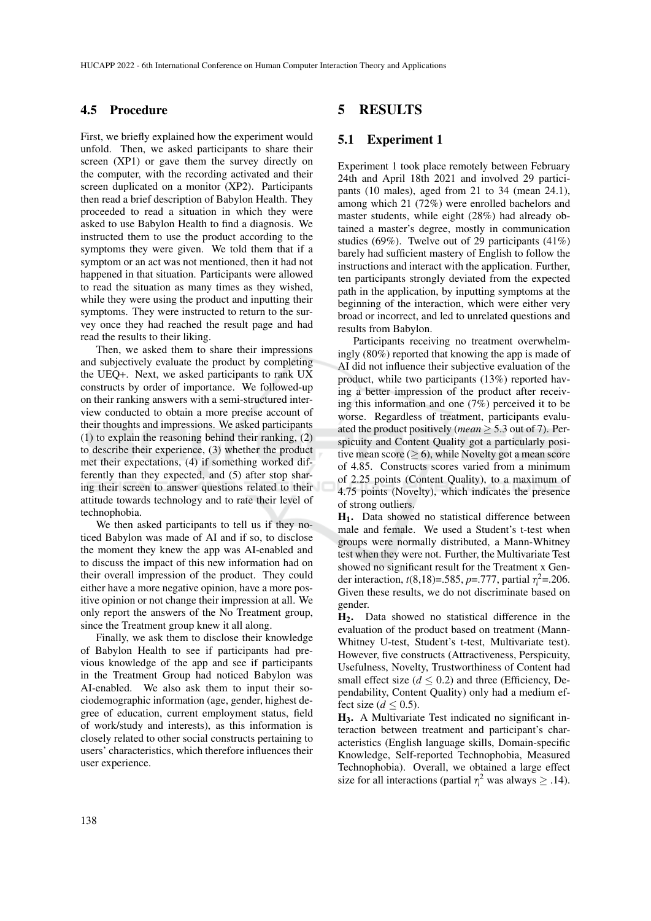#### 4.5 Procedure

First, we briefly explained how the experiment would unfold. Then, we asked participants to share their screen (XP1) or gave them the survey directly on the computer, with the recording activated and their screen duplicated on a monitor (XP2). Participants then read a brief description of Babylon Health. They proceeded to read a situation in which they were asked to use Babylon Health to find a diagnosis. We instructed them to use the product according to the symptoms they were given. We told them that if a symptom or an act was not mentioned, then it had not happened in that situation. Participants were allowed to read the situation as many times as they wished, while they were using the product and inputting their symptoms. They were instructed to return to the survey once they had reached the result page and had read the results to their liking.

Then, we asked them to share their impressions and subjectively evaluate the product by completing the UEQ+. Next, we asked participants to rank UX constructs by order of importance. We followed-up on their ranking answers with a semi-structured interview conducted to obtain a more precise account of their thoughts and impressions. We asked participants (1) to explain the reasoning behind their ranking, (2) to describe their experience, (3) whether the product met their expectations, (4) if something worked differently than they expected, and (5) after stop sharing their screen to answer questions related to their attitude towards technology and to rate their level of technophobia.

We then asked participants to tell us if they noticed Babylon was made of AI and if so, to disclose the moment they knew the app was AI-enabled and to discuss the impact of this new information had on their overall impression of the product. They could either have a more negative opinion, have a more positive opinion or not change their impression at all. We only report the answers of the No Treatment group, since the Treatment group knew it all along.

Finally, we ask them to disclose their knowledge of Babylon Health to see if participants had previous knowledge of the app and see if participants in the Treatment Group had noticed Babylon was AI-enabled. We also ask them to input their sociodemographic information (age, gender, highest degree of education, current employment status, field of work/study and interests), as this information is closely related to other social constructs pertaining to users' characteristics, which therefore influences their user experience.

### 5 RESULTS

#### 5.1 Experiment 1

Experiment 1 took place remotely between February 24th and April 18th 2021 and involved 29 participants (10 males), aged from 21 to 34 (mean 24.1), among which 21 (72%) were enrolled bachelors and master students, while eight (28%) had already obtained a master's degree, mostly in communication studies (69%). Twelve out of 29 participants  $(41\%)$ barely had sufficient mastery of English to follow the instructions and interact with the application. Further, ten participants strongly deviated from the expected path in the application, by inputting symptoms at the beginning of the interaction, which were either very broad or incorrect, and led to unrelated questions and results from Babylon.

Participants receiving no treatment overwhelmingly (80%) reported that knowing the app is made of AI did not influence their subjective evaluation of the product, while two participants (13%) reported having a better impression of the product after receiving this information and one (7%) perceived it to be worse. Regardless of treatment, participants evaluated the product positively (*mean* ≥ 5.3 out of 7). Perspicuity and Content Quality got a particularly positive mean score ( $> 6$ ), while Novelty got a mean score of 4.85. Constructs scores varied from a minimum of 2.25 points (Content Quality), to a maximum of 4.75 points (Novelty), which indicates the presence of strong outliers.

H1. Data showed no statistical difference between male and female. We used a Student's t-test when groups were normally distributed, a Mann-Whitney test when they were not. Further, the Multivariate Test showed no significant result for the Treatment x Gender interaction, *t*(8,18)=.585, *p*=.777, partial  $\eta^2$ =.206. Given these results, we do not discriminate based on gender.

H2. Data showed no statistical difference in the evaluation of the product based on treatment (Mann-Whitney U-test, Student's t-test, Multivariate test). However, five constructs (Attractiveness, Perspicuity, Usefulness, Novelty, Trustworthiness of Content had small effect size  $(d \le 0.2)$  and three (Efficiency, Dependability, Content Quality) only had a medium effect size  $(d \le 0.5)$ .

H3. A Multivariate Test indicated no significant interaction between treatment and participant's characteristics (English language skills, Domain-specific Knowledge, Self-reported Technophobia, Measured Technophobia). Overall, we obtained a large effect size for all interactions (partial  $\eta^2$  was always  $\geq$  .14).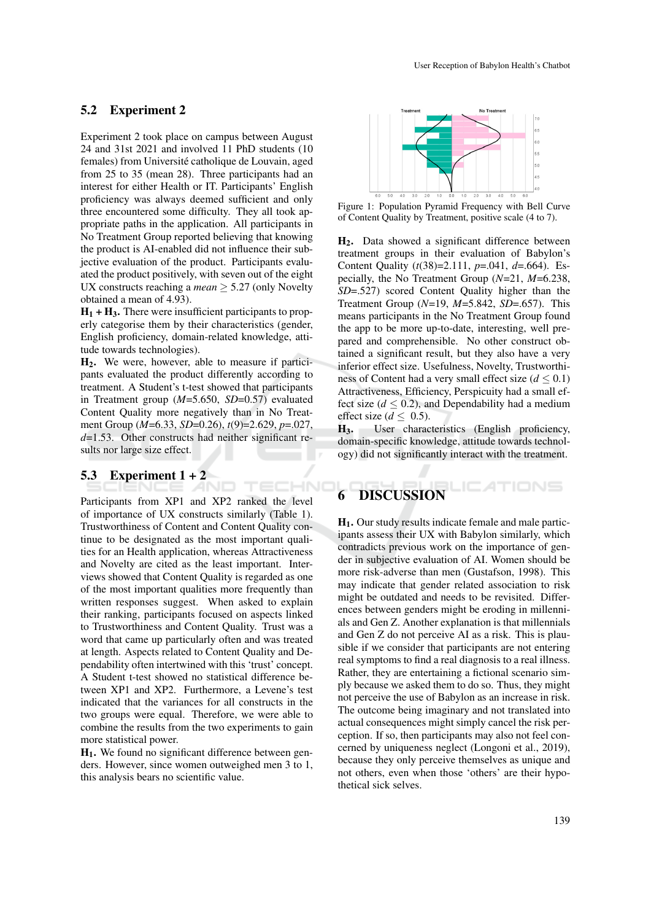#### 5.2 Experiment 2

Experiment 2 took place on campus between August 24 and 31st 2021 and involved 11 PhD students (10 females) from Université catholique de Louvain, aged from 25 to 35 (mean 28). Three participants had an interest for either Health or IT. Participants' English proficiency was always deemed sufficient and only three encountered some difficulty. They all took appropriate paths in the application. All participants in No Treatment Group reported believing that knowing the product is AI-enabled did not influence their subjective evaluation of the product. Participants evaluated the product positively, with seven out of the eight UX constructs reaching a *mean*  $\geq$  5.27 (only Novelty obtained a mean of 4.93).

 $H_1 + H_3$ . There were insufficient participants to properly categorise them by their characteristics (gender, English proficiency, domain-related knowledge, attitude towards technologies).

H2. We were, however, able to measure if participants evaluated the product differently according to treatment. A Student's t-test showed that participants in Treatment group (*M*=5.650, *SD*=0.57) evaluated Content Quality more negatively than in No Treatment Group (*M*=6.33, *SD*=0.26), *t*(9)=2.629, *p*=.027, *d*=1.53. Other constructs had neither significant results nor large size effect.

**TECHN** 

# 5.3 Experiment  $1 + 2$

Participants from XP1 and XP2 ranked the level of importance of UX constructs similarly (Table 1). Trustworthiness of Content and Content Quality continue to be designated as the most important qualities for an Health application, whereas Attractiveness and Novelty are cited as the least important. Interviews showed that Content Quality is regarded as one of the most important qualities more frequently than written responses suggest. When asked to explain their ranking, participants focused on aspects linked to Trustworthiness and Content Quality. Trust was a word that came up particularly often and was treated at length. Aspects related to Content Quality and Dependability often intertwined with this 'trust' concept. A Student t-test showed no statistical difference between XP1 and XP2. Furthermore, a Levene's test indicated that the variances for all constructs in the two groups were equal. Therefore, we were able to combine the results from the two experiments to gain more statistical power.

 $H<sub>1</sub>$ . We found no significant difference between genders. However, since women outweighed men 3 to 1, this analysis bears no scientific value.



Figure 1: Population Pyramid Frequency with Bell Curve of Content Quality by Treatment, positive scale (4 to 7).

H2. Data showed a significant difference between treatment groups in their evaluation of Babylon's Content Quality (*t*(38)=2.111, *p*=.041, *d*=.664). Especially, the No Treatment Group (*N*=21, *M*=6.238, *SD*=.527) scored Content Quality higher than the Treatment Group (*N*=19, *M*=5.842, *SD*=.657). This means participants in the No Treatment Group found the app to be more up-to-date, interesting, well prepared and comprehensible. No other construct obtained a significant result, but they also have a very inferior effect size. Usefulness, Novelty, Trustworthiness of Content had a very small effect size ( $d \leq 0.1$ ) Attractiveness, Efficiency, Perspicuity had a small effect size  $(d \leq 0.2)$ , and Dependability had a medium effect size ( $d \leq 0.5$ ).

H3. User characteristics (English proficiency, domain-specific knowledge, attitude towards technology) did not significantly interact with the treatment.

# **DISCUSSION**

H1. Our study results indicate female and male participants assess their UX with Babylon similarly, which contradicts previous work on the importance of gender in subjective evaluation of AI. Women should be more risk-adverse than men (Gustafson, 1998). This may indicate that gender related association to risk might be outdated and needs to be revisited. Differences between genders might be eroding in millennials and Gen Z. Another explanation is that millennials and Gen Z do not perceive AI as a risk. This is plausible if we consider that participants are not entering real symptoms to find a real diagnosis to a real illness. Rather, they are entertaining a fictional scenario simply because we asked them to do so. Thus, they might not perceive the use of Babylon as an increase in risk. The outcome being imaginary and not translated into actual consequences might simply cancel the risk perception. If so, then participants may also not feel concerned by uniqueness neglect (Longoni et al., 2019), because they only perceive themselves as unique and not others, even when those 'others' are their hypothetical sick selves.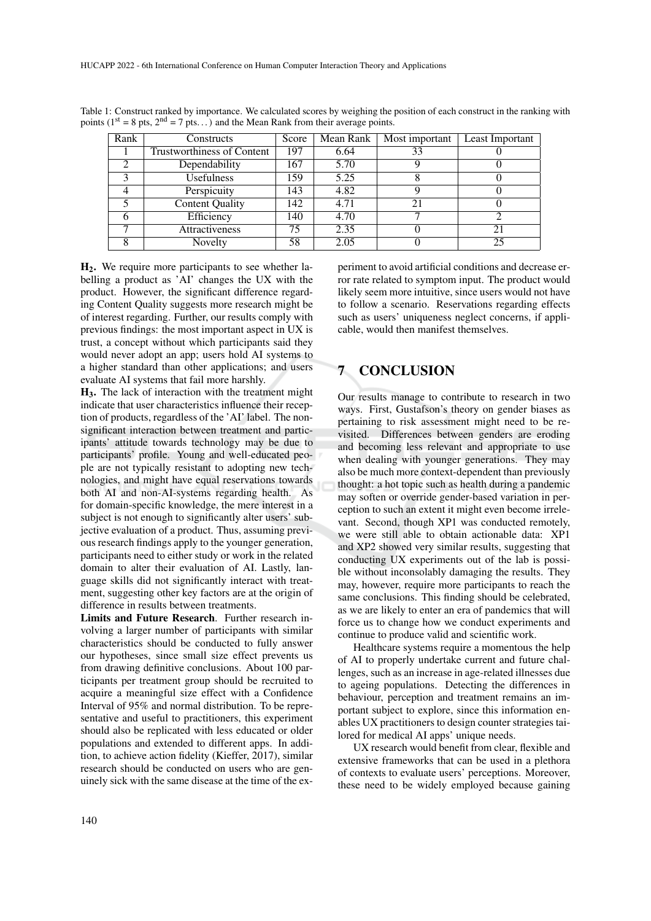| Rank | Constructs                        | Score | Mean Rank | Most important | Least Important |
|------|-----------------------------------|-------|-----------|----------------|-----------------|
|      | <b>Trustworthiness of Content</b> | 197   | 6.64      | 33             |                 |
|      | Dependability                     | 167   | 5.70      |                |                 |
|      | <b>Usefulness</b>                 | 159   | 5.25      |                |                 |
|      | Perspicuity                       | 143   | 4.82      |                |                 |
|      | <b>Content Quality</b>            | 142   | 4.71      | 21             |                 |
|      | Efficiency                        | 140   | 4.70      |                |                 |
|      | Attractiveness                    | 75    | 2.35      |                |                 |
|      | Novelty                           | 58    | 2.05      |                | 25              |

Table 1: Construct ranked by importance. We calculated scores by weighing the position of each construct in the ranking with points ( $1<sup>st</sup> = 8$  pts,  $2<sup>nd</sup> = 7$  pts...) and the Mean Rank from their average points.

H2. We require more participants to see whether labelling a product as 'AI' changes the UX with the product. However, the significant difference regarding Content Quality suggests more research might be of interest regarding. Further, our results comply with previous findings: the most important aspect in UX is trust, a concept without which participants said they would never adopt an app; users hold AI systems to a higher standard than other applications; and users evaluate AI systems that fail more harshly.

H3. The lack of interaction with the treatment might indicate that user characteristics influence their reception of products, regardless of the 'AI' label. The nonsignificant interaction between treatment and participants' attitude towards technology may be due to participants' profile. Young and well-educated people are not typically resistant to adopting new technologies, and might have equal reservations towards both AI and non-AI-systems regarding health. As for domain-specific knowledge, the mere interest in a subject is not enough to significantly alter users' subjective evaluation of a product. Thus, assuming previous research findings apply to the younger generation, participants need to either study or work in the related domain to alter their evaluation of AI. Lastly, language skills did not significantly interact with treatment, suggesting other key factors are at the origin of difference in results between treatments.

Limits and Future Research. Further research involving a larger number of participants with similar characteristics should be conducted to fully answer our hypotheses, since small size effect prevents us from drawing definitive conclusions. About 100 participants per treatment group should be recruited to acquire a meaningful size effect with a Confidence Interval of 95% and normal distribution. To be representative and useful to practitioners, this experiment should also be replicated with less educated or older populations and extended to different apps. In addition, to achieve action fidelity (Kieffer, 2017), similar research should be conducted on users who are genuinely sick with the same disease at the time of the experiment to avoid artificial conditions and decrease error rate related to symptom input. The product would likely seem more intuitive, since users would not have to follow a scenario. Reservations regarding effects such as users' uniqueness neglect concerns, if applicable, would then manifest themselves.

## 7 CONCLUSION

Our results manage to contribute to research in two ways. First, Gustafson's theory on gender biases as pertaining to risk assessment might need to be revisited. Differences between genders are eroding and becoming less relevant and appropriate to use when dealing with younger generations. They may also be much more context-dependent than previously thought: a hot topic such as health during a pandemic may soften or override gender-based variation in perception to such an extent it might even become irrelevant. Second, though XP1 was conducted remotely, we were still able to obtain actionable data: XP1 and XP2 showed very similar results, suggesting that conducting UX experiments out of the lab is possible without inconsolably damaging the results. They may, however, require more participants to reach the same conclusions. This finding should be celebrated, as we are likely to enter an era of pandemics that will force us to change how we conduct experiments and continue to produce valid and scientific work.

Healthcare systems require a momentous the help of AI to properly undertake current and future challenges, such as an increase in age-related illnesses due to ageing populations. Detecting the differences in behaviour, perception and treatment remains an important subject to explore, since this information enables UX practitioners to design counter strategies tailored for medical AI apps' unique needs.

UX research would benefit from clear, flexible and extensive frameworks that can be used in a plethora of contexts to evaluate users' perceptions. Moreover, these need to be widely employed because gaining